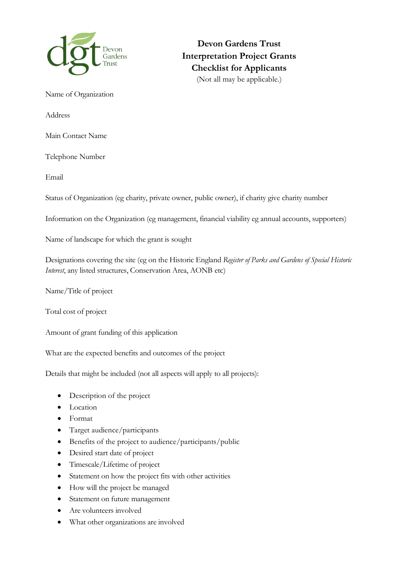

**Devon Gardens Trust Interpretation Project Grants Checklist for Applicants** (Not all may be applicable.)

Name of Organization

Address

Main Contact Name

Telephone Number

Email

Status of Organization (eg charity, private owner, public owner), if charity give charity number

Information on the Organization (eg management, financial viability eg annual accounts, supporters)

Name of landscape for which the grant is sought

Designations covering the site (eg on the Historic England *Register of Parks and Gardens of Special Historic Interest*, any listed structures, Conservation Area, AONB etc)

Name/Title of project

Total cost of project

Amount of grant funding of this application

What are the expected benefits and outcomes of the project

Details that might be included (not all aspects will apply to all projects):

- Description of the project
- Location
- Format
- Target audience/participants
- Benefits of the project to audience/participants/public
- Desired start date of project
- Timescale/Lifetime of project
- Statement on how the project fits with other activities
- How will the project be managed
- Statement on future management
- Are volunteers involved
- What other organizations are involved